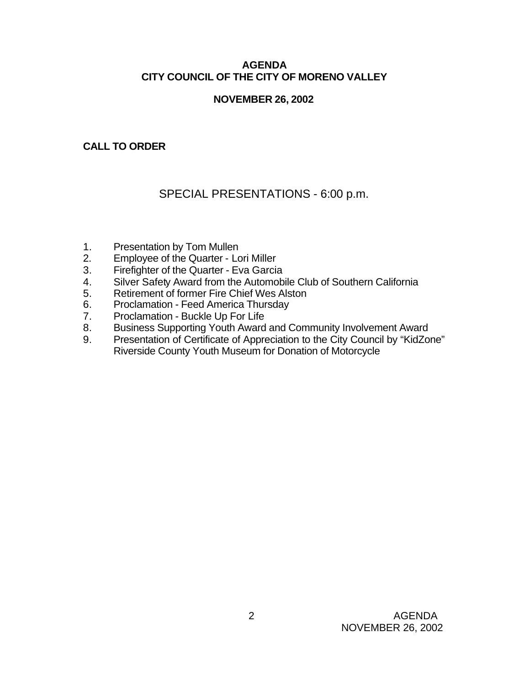### **AGENDA CITY COUNCIL OF THE CITY OF MORENO VALLEY**

### **NOVEMBER 26, 2002**

### **CALL TO ORDER**

# SPECIAL PRESENTATIONS - 6:00 p.m.

- 1. Presentation by Tom Mullen
- 2. Employee of the Quarter Lori Miller
- 3. Firefighter of the Quarter Eva Garcia
- 4. Silver Safety Award from the Automobile Club of Southern California
- 5. Retirement of former Fire Chief Wes Alston<br>6. Proclamation Feed America Thursday
- 6. Proclamation Feed America Thursday
- 7. Proclamation Buckle Up For Life
- 8. Business Supporting Youth Award and Community Involvement Award
- 9. Presentation of Certificate of Appreciation to the City Council by "KidZone" Riverside County Youth Museum for Donation of Motorcycle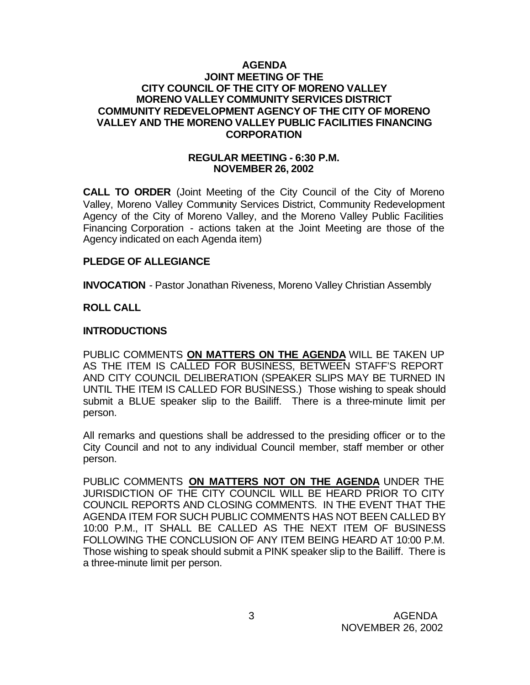### **AGENDA JOINT MEETING OF THE CITY COUNCIL OF THE CITY OF MORENO VALLEY MORENO VALLEY COMMUNITY SERVICES DISTRICT COMMUNITY REDEVELOPMENT AGENCY OF THE CITY OF MORENO VALLEY AND THE MORENO VALLEY PUBLIC FACILITIES FINANCING CORPORATION**

#### **REGULAR MEETING - 6:30 P.M. NOVEMBER 26, 2002**

**CALL TO ORDER** (Joint Meeting of the City Council of the City of Moreno Valley, Moreno Valley Community Services District, Community Redevelopment Agency of the City of Moreno Valley, and the Moreno Valley Public Facilities Financing Corporation - actions taken at the Joint Meeting are those of the Agency indicated on each Agenda item)

### **PLEDGE OF ALLEGIANCE**

**INVOCATION** - Pastor Jonathan Riveness, Moreno Valley Christian Assembly

### **ROLL CALL**

### **INTRODUCTIONS**

PUBLIC COMMENTS **ON MATTERS ON THE AGENDA** WILL BE TAKEN UP AS THE ITEM IS CALLED FOR BUSINESS, BETWEEN STAFF'S REPORT AND CITY COUNCIL DELIBERATION (SPEAKER SLIPS MAY BE TURNED IN UNTIL THE ITEM IS CALLED FOR BUSINESS.) Those wishing to speak should submit a BLUE speaker slip to the Bailiff. There is a three-minute limit per person.

All remarks and questions shall be addressed to the presiding officer or to the City Council and not to any individual Council member, staff member or other person.

PUBLIC COMMENTS **ON MATTERS NOT ON THE AGENDA** UNDER THE JURISDICTION OF THE CITY COUNCIL WILL BE HEARD PRIOR TO CITY COUNCIL REPORTS AND CLOSING COMMENTS. IN THE EVENT THAT THE AGENDA ITEM FOR SUCH PUBLIC COMMENTS HAS NOT BEEN CALLED BY 10:00 P.M., IT SHALL BE CALLED AS THE NEXT ITEM OF BUSINESS FOLLOWING THE CONCLUSION OF ANY ITEM BEING HEARD AT 10:00 P.M. Those wishing to speak should submit a PINK speaker slip to the Bailiff. There is a three-minute limit per person.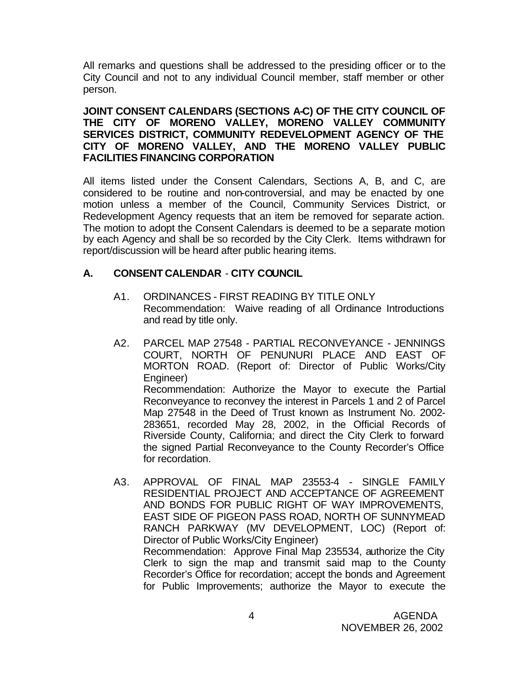All remarks and questions shall be addressed to the presiding officer or to the City Council and not to any individual Council member, staff member or other person.

### **JOINT CONSENT CALENDARS (SECTIONS A-C) OF THE CITY COUNCIL OF THE CITY OF MORENO VALLEY, MORENO VALLEY COMMUNITY SERVICES DISTRICT, COMMUNITY REDEVELOPMENT AGENCY OF THE CITY OF MORENO VALLEY, AND THE MORENO VALLEY PUBLIC FACILITIES FINANCING CORPORATION**

All items listed under the Consent Calendars, Sections A, B, and C, are considered to be routine and non-controversial, and may be enacted by one motion unless a member of the Council, Community Services District, or Redevelopment Agency requests that an item be removed for separate action. The motion to adopt the Consent Calendars is deemed to be a separate motion by each Agency and shall be so recorded by the City Clerk. Items withdrawn for report/discussion will be heard after public hearing items.

### **A. CONSENT CALENDAR** - **CITY COUNCIL**

- A1. ORDINANCES FIRST READING BY TITLE ONLY Recommendation: Waive reading of all Ordinance Introductions and read by title only.
- A2. PARCEL MAP 27548 PARTIAL RECONVEYANCE JENNINGS COURT, NORTH OF PENUNURI PLACE AND EAST OF MORTON ROAD. (Report of: Director of Public Works/City Engineer) Recommendation: Authorize the Mayor to execute the Partial Reconveyance to reconvey the interest in Parcels 1 and 2 of Parcel Map 27548 in the Deed of Trust known as Instrument No. 2002- 283651, recorded May 28, 2002, in the Official Records of Riverside County, California; and direct the City Clerk to forward the signed Partial Reconveyance to the County Recorder's Office for recordation.
- A3. APPROVAL OF FINAL MAP 23553-4 SINGLE FAMILY RESIDENTIAL PROJECT AND ACCEPTANCE OF AGREEMENT AND BONDS FOR PUBLIC RIGHT OF WAY IMPROVEMENTS, EAST SIDE OF PIGEON PASS ROAD, NORTH OF SUNNYMEAD RANCH PARKWAY (MV DEVELOPMENT, LOC) (Report of: Director of Public Works/City Engineer) Recommendation: Approve Final Map 235534, authorize the City Clerk to sign the map and transmit said map to the County Recorder's Office for recordation; accept the bonds and Agreement for Public Improvements; authorize the Mayor to execute the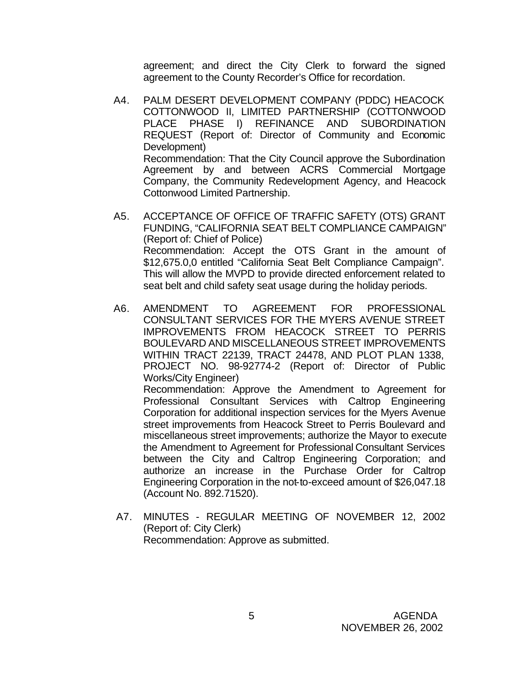agreement; and direct the City Clerk to forward the signed agreement to the County Recorder's Office for recordation.

- A4. PALM DESERT DEVELOPMENT COMPANY (PDDC) HEACOCK COTTONWOOD II, LIMITED PARTNERSHIP (COTTONWOOD PLACE PHASE I) REFINANCE AND SUBORDINATION REQUEST (Report of: Director of Community and Economic Development) Recommendation: That the City Council approve the Subordination Agreement by and between ACRS Commercial Mortgage Company, the Community Redevelopment Agency, and Heacock Cottonwood Limited Partnership.
- A5. ACCEPTANCE OF OFFICE OF TRAFFIC SAFETY (OTS) GRANT FUNDING, "CALIFORNIA SEAT BELT COMPLIANCE CAMPAIGN" (Report of: Chief of Police) Recommendation: Accept the OTS Grant in the amount of \$12,675.0,0 entitled "California Seat Belt Compliance Campaign". This will allow the MVPD to provide directed enforcement related to seat belt and child safety seat usage during the holiday periods.
- A6. AMENDMENT TO AGREEMENT FOR PROFESSIONAL CONSULTANT SERVICES FOR THE MYERS AVENUE STREET IMPROVEMENTS FROM HEACOCK STREET TO PERRIS BOULEVARD AND MISCELLANEOUS STREET IMPROVEMENTS WITHIN TRACT 22139, TRACT 24478, AND PLOT PLAN 1338, PROJECT NO. 98-92774-2 (Report of: Director of Public Works/City Engineer)

Recommendation: Approve the Amendment to Agreement for Professional Consultant Services with Caltrop Engineering Corporation for additional inspection services for the Myers Avenue street improvements from Heacock Street to Perris Boulevard and miscellaneous street improvements; authorize the Mayor to execute the Amendment to Agreement for Professional Consultant Services between the City and Caltrop Engineering Corporation; and authorize an increase in the Purchase Order for Caltrop Engineering Corporation in the not-to-exceed amount of \$26,047.18 (Account No. 892.71520).

 A7. MINUTES - REGULAR MEETING OF NOVEMBER 12, 2002 (Report of: City Clerk) Recommendation: Approve as submitted.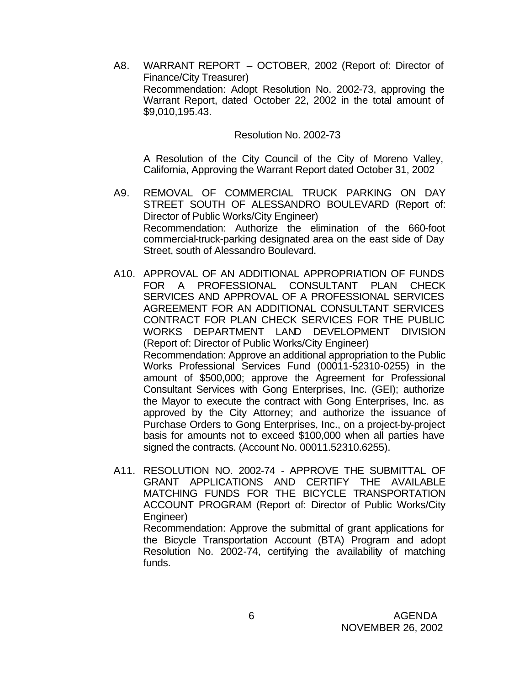A8. WARRANT REPORT – OCTOBER, 2002 (Report of: Director of Finance/City Treasurer) Recommendation: Adopt Resolution No. 2002-73, approving the Warrant Report, dated October 22, 2002 in the total amount of \$9,010,195.43.

Resolution No. 2002-73

A Resolution of the City Council of the City of Moreno Valley, California, Approving the Warrant Report dated October 31, 2002

- A9. REMOVAL OF COMMERCIAL TRUCK PARKING ON DAY STREET SOUTH OF ALESSANDRO BOULEVARD (Report of: Director of Public Works/City Engineer) Recommendation: Authorize the elimination of the 660-foot commercial-truck-parking designated area on the east side of Day Street, south of Alessandro Boulevard.
- A10. APPROVAL OF AN ADDITIONAL APPROPRIATION OF FUNDS FOR A PROFESSIONAL CONSULTANT PLAN CHECK SERVICES AND APPROVAL OF A PROFESSIONAL SERVICES AGREEMENT FOR AN ADDITIONAL CONSULTANT SERVICES CONTRACT FOR PLAN CHECK SERVICES FOR THE PUBLIC WORKS DEPARTMENT LAND DEVELOPMENT DIVISION (Report of: Director of Public Works/City Engineer) Recommendation: Approve an additional appropriation to the Public Works Professional Services Fund (00011-52310-0255) in the amount of \$500,000; approve the Agreement for Professional Consultant Services with Gong Enterprises, Inc. (GEI); authorize the Mayor to execute the contract with Gong Enterprises, Inc. as approved by the City Attorney; and authorize the issuance of Purchase Orders to Gong Enterprises, Inc., on a project-by-project basis for amounts not to exceed \$100,000 when all parties have signed the contracts. (Account No. 00011.52310.6255).
- A11. RESOLUTION NO. 2002-74 APPROVE THE SUBMITTAL OF GRANT APPLICATIONS AND CERTIFY THE AVAILABLE MATCHING FUNDS FOR THE BICYCLE TRANSPORTATION ACCOUNT PROGRAM (Report of: Director of Public Works/City Engineer) Recommendation: Approve the submittal of grant applications for the Bicycle Transportation Account (BTA) Program and adopt

Resolution No. 2002-74, certifying the availability of matching funds.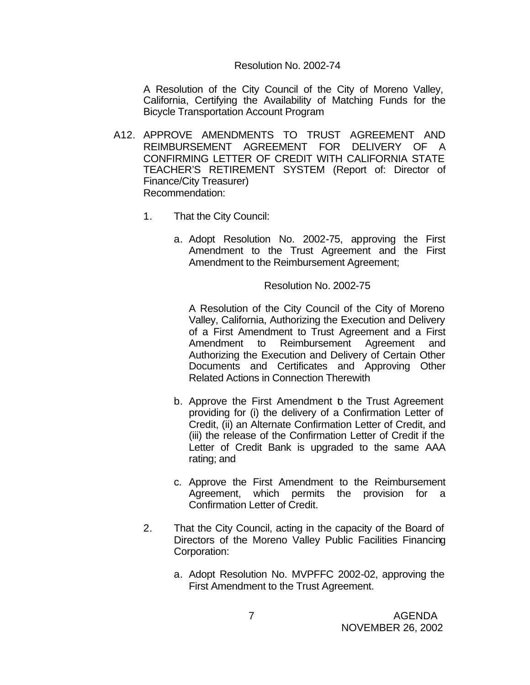#### Resolution No. 2002-74

A Resolution of the City Council of the City of Moreno Valley, California, Certifying the Availability of Matching Funds for the Bicycle Transportation Account Program

- A12. APPROVE AMENDMENTS TO TRUST AGREEMENT AND REIMBURSEMENT AGREEMENT FOR DELIVERY OF A CONFIRMING LETTER OF CREDIT WITH CALIFORNIA STATE TEACHER'S RETIREMENT SYSTEM (Report of: Director of Finance/City Treasurer) Recommendation:
	- 1. That the City Council:
		- a. Adopt Resolution No. 2002-75, approving the First Amendment to the Trust Agreement and the First Amendment to the Reimbursement Agreement;

Resolution No. 2002-75

A Resolution of the City Council of the City of Moreno Valley, California, Authorizing the Execution and Delivery of a First Amendment to Trust Agreement and a First Amendment to Reimbursement Agreement and Authorizing the Execution and Delivery of Certain Other Documents and Certificates and Approving Other Related Actions in Connection Therewith

- b. Approve the First Amendment b the Trust Agreement providing for (i) the delivery of a Confirmation Letter of Credit, (ii) an Alternate Confirmation Letter of Credit, and (iii) the release of the Confirmation Letter of Credit if the Letter of Credit Bank is upgraded to the same AAA rating; and
- c. Approve the First Amendment to the Reimbursement Agreement, which permits the provision for a Confirmation Letter of Credit.
- 2. That the City Council, acting in the capacity of the Board of Directors of the Moreno Valley Public Facilities Financing Corporation:
	- a. Adopt Resolution No. MVPFFC 2002-02, approving the First Amendment to the Trust Agreement.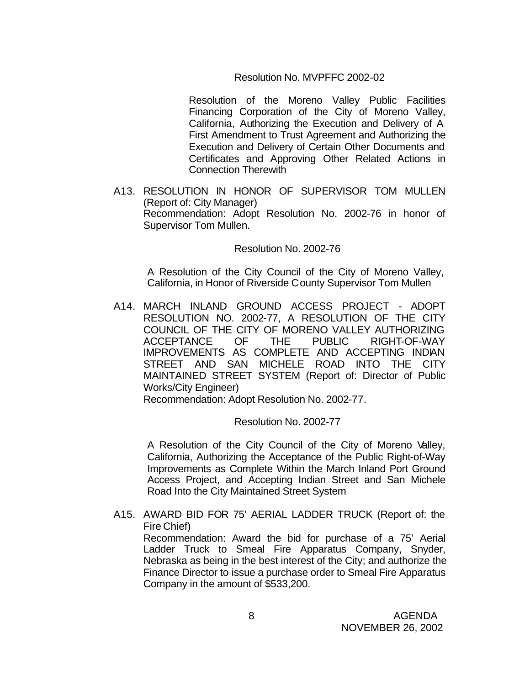### Resolution No. MVPFFC 2002-02

Resolution of the Moreno Valley Public Facilities Financing Corporation of the City of Moreno Valley, California, Authorizing the Execution and Delivery of A First Amendment to Trust Agreement and Authorizing the Execution and Delivery of Certain Other Documents and Certificates and Approving Other Related Actions in Connection Therewith

A13. RESOLUTION IN HONOR OF SUPERVISOR TOM MULLEN (Report of: City Manager) Recommendation: Adopt Resolution No. 2002-76 in honor of Supervisor Tom Mullen.

Resolution No. 2002-76

A Resolution of the City Council of the City of Moreno Valley, California, in Honor of Riverside County Supervisor Tom Mullen

A14. MARCH INLAND GROUND ACCESS PROJECT - ADOPT RESOLUTION NO. 2002-77, A RESOLUTION OF THE CITY COUNCIL OF THE CITY OF MORENO VALLEY AUTHORIZING<br>ACCEPTANCE OF THE PUBLIC RIGHT-OF-WAY ACCEPTANCE OF THE PUBLIC RIGHT-OF-WAY IMPROVEMENTS AS COMPLETE AND ACCEPTING INDIAN STREET AND SAN MICHELE ROAD INTO THE CITY MAINTAINED STREET SYSTEM (Report of: Director of Public Works/City Engineer)

Recommendation: Adopt Resolution No. 2002-77.

Resolution No. 2002-77

A Resolution of the City Council of the City of Moreno Valley, California, Authorizing the Acceptance of the Public Right-of-Way Improvements as Complete Within the March Inland Port Ground Access Project, and Accepting Indian Street and San Michele Road Into the City Maintained Street System

A15. AWARD BID FOR 75' AERIAL LADDER TRUCK (Report of: the Fire Chief)

Recommendation: Award the bid for purchase of a 75' Aerial Ladder Truck to Smeal Fire Apparatus Company, Snyder, Nebraska as being in the best interest of the City; and authorize the Finance Director to issue a purchase order to Smeal Fire Apparatus Company in the amount of \$533,200.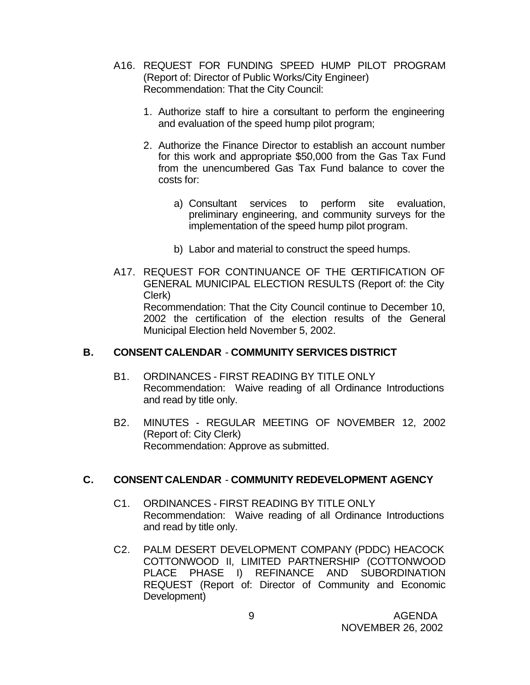- A16. REQUEST FOR FUNDING SPEED HUMP PILOT PROGRAM (Report of: Director of Public Works/City Engineer) Recommendation: That the City Council:
	- 1. Authorize staff to hire a consultant to perform the engineering and evaluation of the speed hump pilot program;
	- 2. Authorize the Finance Director to establish an account number for this work and appropriate \$50,000 from the Gas Tax Fund from the unencumbered Gas Tax Fund balance to cover the costs for:
		- a) Consultant services to perform site evaluation, preliminary engineering, and community surveys for the implementation of the speed hump pilot program.
		- b) Labor and material to construct the speed humps.
- A17. REQUEST FOR CONTINUANCE OF THE CERTIFICATION OF GENERAL MUNICIPAL ELECTION RESULTS (Report of: the City Clerk) Recommendation: That the City Council continue to December 10, 2002 the certification of the election results of the General Municipal Election held November 5, 2002.

### **B. CONSENT CALENDAR** - **COMMUNITY SERVICES DISTRICT**

- B1. ORDINANCES FIRST READING BY TITLE ONLY Recommendation: Waive reading of all Ordinance Introductions and read by title only.
- B2. MINUTES REGULAR MEETING OF NOVEMBER 12, 2002 (Report of: City Clerk) Recommendation: Approve as submitted.

### **C. CONSENT CALENDAR** - **COMMUNITY REDEVELOPMENT AGENCY**

- C1. ORDINANCES FIRST READING BY TITLE ONLY Recommendation: Waive reading of all Ordinance Introductions and read by title only.
- C2. PALM DESERT DEVELOPMENT COMPANY (PDDC) HEACOCK COTTONWOOD II, LIMITED PARTNERSHIP (COTTONWOOD PLACE PHASE I) REFINANCE AND SUBORDINATION REQUEST (Report of: Director of Community and Economic Development)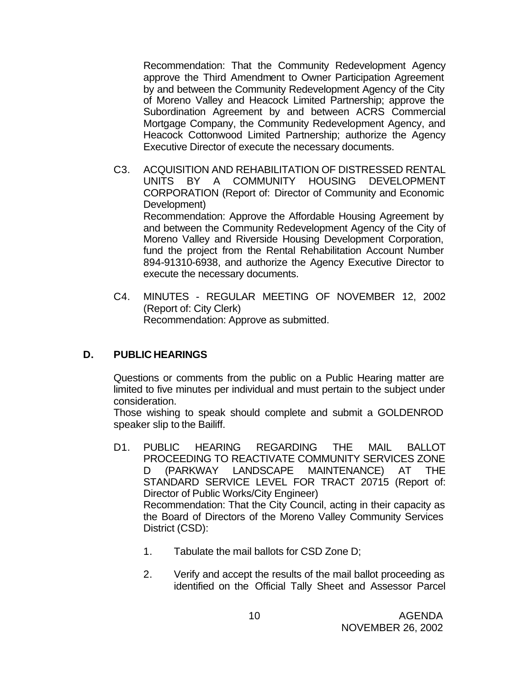Recommendation: That the Community Redevelopment Agency approve the Third Amendment to Owner Participation Agreement by and between the Community Redevelopment Agency of the City of Moreno Valley and Heacock Limited Partnership; approve the Subordination Agreement by and between ACRS Commercial Mortgage Company, the Community Redevelopment Agency, and Heacock Cottonwood Limited Partnership; authorize the Agency Executive Director of execute the necessary documents.

- C3. ACQUISITION AND REHABILITATION OF DISTRESSED RENTAL UNITS BY A COMMUNITY HOUSING DEVELOPMENT CORPORATION (Report of: Director of Community and Economic Development) Recommendation: Approve the Affordable Housing Agreement by and between the Community Redevelopment Agency of the City of Moreno Valley and Riverside Housing Development Corporation, fund the project from the Rental Rehabilitation Account Number 894-91310-6938, and authorize the Agency Executive Director to execute the necessary documents.
- C4. MINUTES REGULAR MEETING OF NOVEMBER 12, 2002 (Report of: City Clerk) Recommendation: Approve as submitted.

### **D. PUBLIC HEARINGS**

Questions or comments from the public on a Public Hearing matter are limited to five minutes per individual and must pertain to the subject under consideration.

Those wishing to speak should complete and submit a GOLDENROD speaker slip to the Bailiff.

- D1. PUBLIC HEARING REGARDING THE MAIL BALLOT PROCEEDING TO REACTIVATE COMMUNITY SERVICES ZONE D (PARKWAY LANDSCAPE MAINTENANCE) AT THE STANDARD SERVICE LEVEL FOR TRACT 20715 (Report of: Director of Public Works/City Engineer) Recommendation: That the City Council, acting in their capacity as the Board of Directors of the Moreno Valley Community Services District (CSD):
	- 1. Tabulate the mail ballots for CSD Zone D;
	- 2. Verify and accept the results of the mail ballot proceeding as identified on the Official Tally Sheet and Assessor Parcel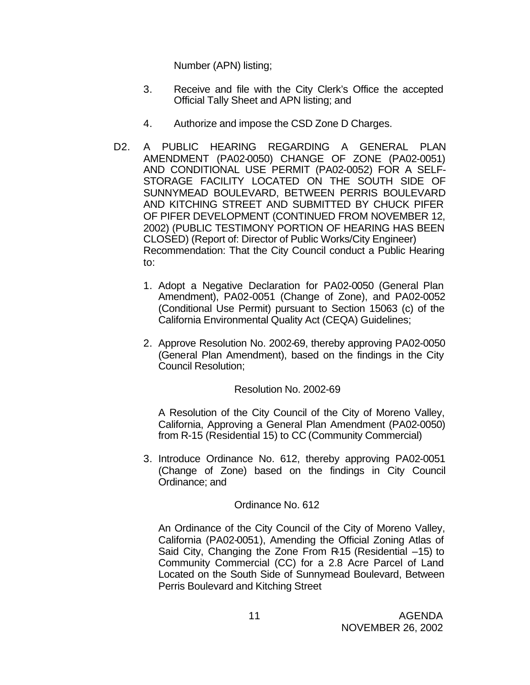Number (APN) listing;

- 3. Receive and file with the City Clerk's Office the accepted Official Tally Sheet and APN listing; and
- 4. Authorize and impose the CSD Zone D Charges.
- D2. A PUBLIC HEARING REGARDING A GENERAL PLAN AMENDMENT (PA02-0050) CHANGE OF ZONE (PA02-0051) AND CONDITIONAL USE PERMIT (PA02-0052) FOR A SELF-STORAGE FACILITY LOCATED ON THE SOUTH SIDE OF SUNNYMEAD BOULEVARD, BETWEEN PERRIS BOULEVARD AND KITCHING STREET AND SUBMITTED BY CHUCK PIFER OF PIFER DEVELOPMENT (CONTINUED FROM NOVEMBER 12, 2002) (PUBLIC TESTIMONY PORTION OF HEARING HAS BEEN CLOSED) (Report of: Director of Public Works/City Engineer) Recommendation: That the City Council conduct a Public Hearing to:
	- 1. Adopt a Negative Declaration for PA02-0050 (General Plan Amendment), PA02-0051 (Change of Zone), and PA02-0052 (Conditional Use Permit) pursuant to Section 15063 (c) of the California Environmental Quality Act (CEQA) Guidelines;
	- 2. Approve Resolution No. 2002-69, thereby approving PA02-0050 (General Plan Amendment), based on the findings in the City Council Resolution;

### Resolution No. 2002-69

A Resolution of the City Council of the City of Moreno Valley, California, Approving a General Plan Amendment (PA02-0050) from R-15 (Residential 15) to CC (Community Commercial)

3. Introduce Ordinance No. 612, thereby approving PA02-0051 (Change of Zone) based on the findings in City Council Ordinance; and

### Ordinance No. 612

An Ordinance of the City Council of the City of Moreno Valley, California (PA02-0051), Amending the Official Zoning Atlas of Said City, Changing the Zone From R-15 (Residential –15) to Community Commercial (CC) for a 2.8 Acre Parcel of Land Located on the South Side of Sunnymead Boulevard, Between Perris Boulevard and Kitching Street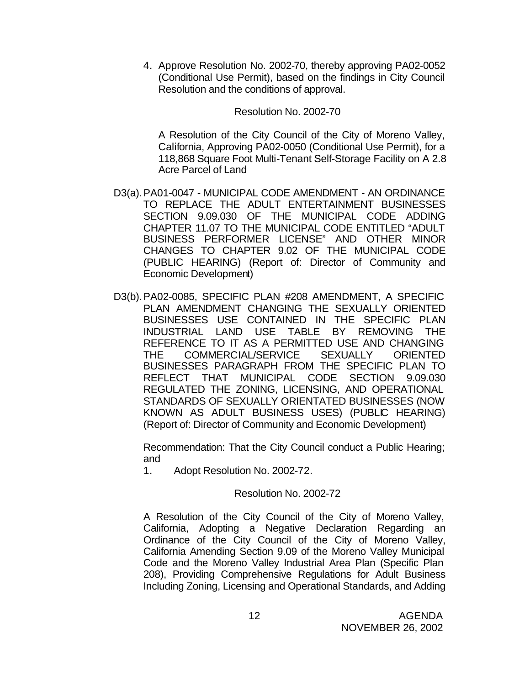4. Approve Resolution No. 2002-70, thereby approving PA02-0052 (Conditional Use Permit), based on the findings in City Council Resolution and the conditions of approval.

Resolution No. 2002-70

A Resolution of the City Council of the City of Moreno Valley, California, Approving PA02-0050 (Conditional Use Permit), for a 118,868 Square Foot Multi-Tenant Self-Storage Facility on A 2.8 Acre Parcel of Land

- D3(a).PA01-0047 MUNICIPAL CODE AMENDMENT AN ORDINANCE TO REPLACE THE ADULT ENTERTAINMENT BUSINESSES SECTION 9.09.030 OF THE MUNICIPAL CODE ADDING CHAPTER 11.07 TO THE MUNICIPAL CODE ENTITLED "ADULT BUSINESS PERFORMER LICENSE" AND OTHER MINOR CHANGES TO CHAPTER 9.02 OF THE MUNICIPAL CODE (PUBLIC HEARING) (Report of: Director of Community and Economic Development)
- D3(b).PA02-0085, SPECIFIC PLAN #208 AMENDMENT, A SPECIFIC PLAN AMENDMENT CHANGING THE SEXUALLY ORIENTED BUSINESSES USE CONTAINED IN THE SPECIFIC PLAN INDUSTRIAL LAND USE TABLE BY REMOVING THE REFERENCE TO IT AS A PERMITTED USE AND CHANGING THE COMMERCIAL/SERVICE SEXUALLY ORIENTED BUSINESSES PARAGRAPH FROM THE SPECIFIC PLAN TO REFLECT THAT MUNICIPAL CODE SECTION 9.09.030 REGULATED THE ZONING, LICENSING, AND OPERATIONAL STANDARDS OF SEXUALLY ORIENTATED BUSINESSES (NOW KNOWN AS ADULT BUSINESS USES) (PUBLIC HEARING) (Report of: Director of Community and Economic Development)

Recommendation: That the City Council conduct a Public Hearing; and

1. Adopt Resolution No. 2002-72.

#### Resolution No. 2002-72

A Resolution of the City Council of the City of Moreno Valley, California, Adopting a Negative Declaration Regarding an Ordinance of the City Council of the City of Moreno Valley, California Amending Section 9.09 of the Moreno Valley Municipal Code and the Moreno Valley Industrial Area Plan (Specific Plan 208), Providing Comprehensive Regulations for Adult Business Including Zoning, Licensing and Operational Standards, and Adding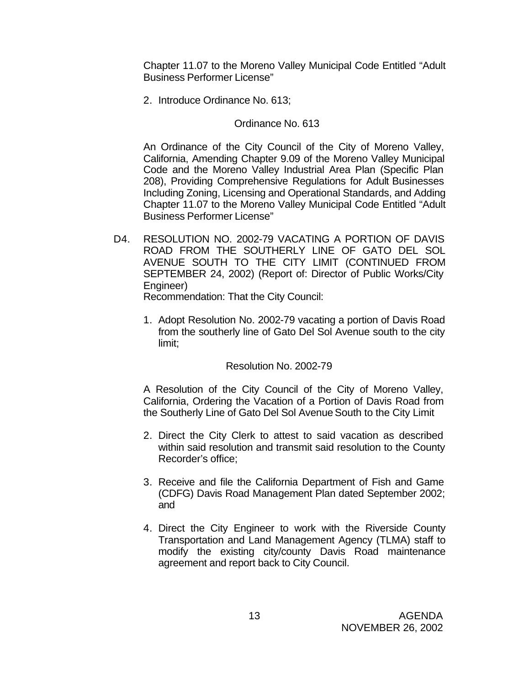Chapter 11.07 to the Moreno Valley Municipal Code Entitled "Adult Business Performer License"

2. Introduce Ordinance No. 613;

### Ordinance No. 613

An Ordinance of the City Council of the City of Moreno Valley, California, Amending Chapter 9.09 of the Moreno Valley Municipal Code and the Moreno Valley Industrial Area Plan (Specific Plan 208), Providing Comprehensive Regulations for Adult Businesses Including Zoning, Licensing and Operational Standards, and Adding Chapter 11.07 to the Moreno Valley Municipal Code Entitled "Adult Business Performer License"

D4. RESOLUTION NO. 2002-79 VACATING A PORTION OF DAVIS ROAD FROM THE SOUTHERLY LINE OF GATO DEL SOL AVENUE SOUTH TO THE CITY LIMIT (CONTINUED FROM SEPTEMBER 24, 2002) (Report of: Director of Public Works/City Engineer)

Recommendation: That the City Council:

1. Adopt Resolution No. 2002-79 vacating a portion of Davis Road from the southerly line of Gato Del Sol Avenue south to the city limit;

#### Resolution No. 2002-79

A Resolution of the City Council of the City of Moreno Valley, California, Ordering the Vacation of a Portion of Davis Road from the Southerly Line of Gato Del Sol Avenue South to the City Limit

- 2. Direct the City Clerk to attest to said vacation as described within said resolution and transmit said resolution to the County Recorder's office;
- 3. Receive and file the California Department of Fish and Game (CDFG) Davis Road Management Plan dated September 2002; and
- 4. Direct the City Engineer to work with the Riverside County Transportation and Land Management Agency (TLMA) staff to modify the existing city/county Davis Road maintenance agreement and report back to City Council.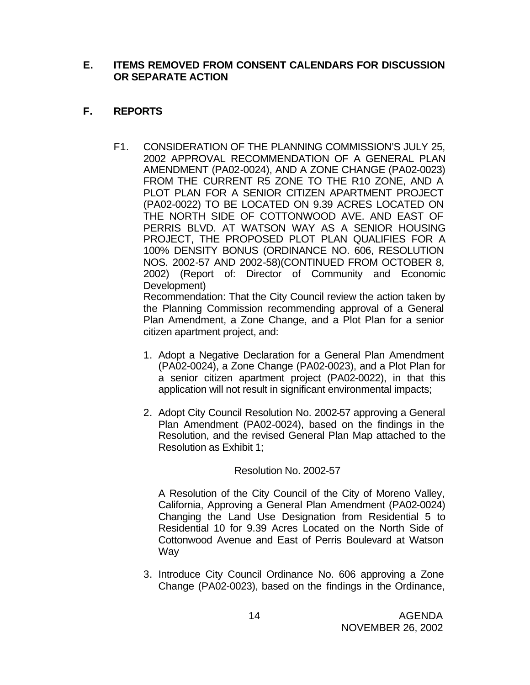### **E. ITEMS REMOVED FROM CONSENT CALENDARS FOR DISCUSSION OR SEPARATE ACTION**

# **F. REPORTS**

F1. CONSIDERATION OF THE PLANNING COMMISSION'S JULY 25, 2002 APPROVAL RECOMMENDATION OF A GENERAL PLAN AMENDMENT (PA02-0024), AND A ZONE CHANGE (PA02-0023) FROM THE CURRENT R5 ZONE TO THE R10 ZONE, AND A PLOT PLAN FOR A SENIOR CITIZEN APARTMENT PROJECT (PA02-0022) TO BE LOCATED ON 9.39 ACRES LOCATED ON THE NORTH SIDE OF COTTONWOOD AVE. AND EAST OF PERRIS BLVD. AT WATSON WAY AS A SENIOR HOUSING PROJECT, THE PROPOSED PLOT PLAN QUALIFIES FOR A 100% DENSITY BONUS (ORDINANCE NO. 606, RESOLUTION NOS. 2002-57 AND 2002-58)(CONTINUED FROM OCTOBER 8, 2002) (Report of: Director of Community and Economic Development)

Recommendation: That the City Council review the action taken by the Planning Commission recommending approval of a General Plan Amendment, a Zone Change, and a Plot Plan for a senior citizen apartment project, and:

- 1. Adopt a Negative Declaration for a General Plan Amendment (PA02-0024), a Zone Change (PA02-0023), and a Plot Plan for a senior citizen apartment project (PA02-0022), in that this application will not result in significant environmental impacts;
- 2. Adopt City Council Resolution No. 2002-57 approving a General Plan Amendment (PA02-0024), based on the findings in the Resolution, and the revised General Plan Map attached to the Resolution as Exhibit 1;

### Resolution No. 2002-57

A Resolution of the City Council of the City of Moreno Valley, California, Approving a General Plan Amendment (PA02-0024) Changing the Land Use Designation from Residential 5 to Residential 10 for 9.39 Acres Located on the North Side of Cottonwood Avenue and East of Perris Boulevard at Watson **Way** 

3. Introduce City Council Ordinance No. 606 approving a Zone Change (PA02-0023), based on the findings in the Ordinance,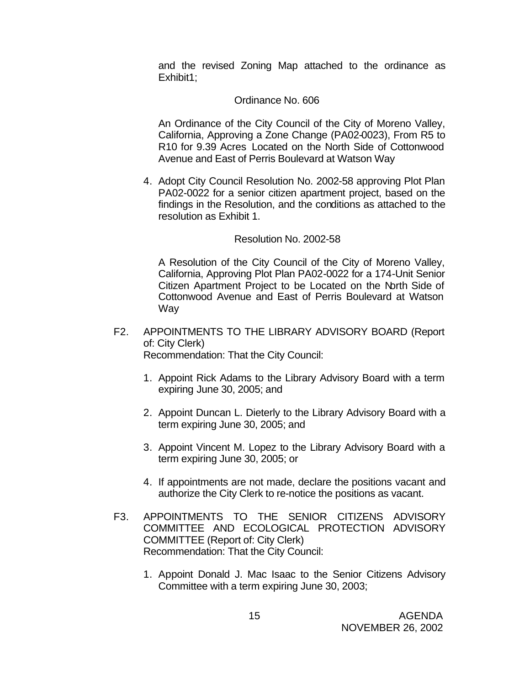and the revised Zoning Map attached to the ordinance as Exhibit1:

#### Ordinance No. 606

An Ordinance of the City Council of the City of Moreno Valley, California, Approving a Zone Change (PA02-0023), From R5 to R10 for 9.39 Acres Located on the North Side of Cottonwood Avenue and East of Perris Boulevard at Watson Way

4. Adopt City Council Resolution No. 2002-58 approving Plot Plan PA02-0022 for a senior citizen apartment project, based on the findings in the Resolution, and the conditions as attached to the resolution as Exhibit 1.

#### Resolution No. 2002-58

A Resolution of the City Council of the City of Moreno Valley, California, Approving Plot Plan PA02-0022 for a 174-Unit Senior Citizen Apartment Project to be Located on the North Side of Cottonwood Avenue and East of Perris Boulevard at Watson Way

- F2. APPOINTMENTS TO THE LIBRARY ADVISORY BOARD (Report of: City Clerk) Recommendation: That the City Council:
	- 1. Appoint Rick Adams to the Library Advisory Board with a term expiring June 30, 2005; and
	- 2. Appoint Duncan L. Dieterly to the Library Advisory Board with a term expiring June 30, 2005; and
	- 3. Appoint Vincent M. Lopez to the Library Advisory Board with a term expiring June 30, 2005; or
	- 4. If appointments are not made, declare the positions vacant and authorize the City Clerk to re-notice the positions as vacant.
- F3. APPOINTMENTS TO THE SENIOR CITIZENS ADVISORY COMMITTEE AND ECOLOGICAL PROTECTION ADVISORY COMMITTEE (Report of: City Clerk) Recommendation: That the City Council:
	- 1. Appoint Donald J. Mac Isaac to the Senior Citizens Advisory Committee with a term expiring June 30, 2003;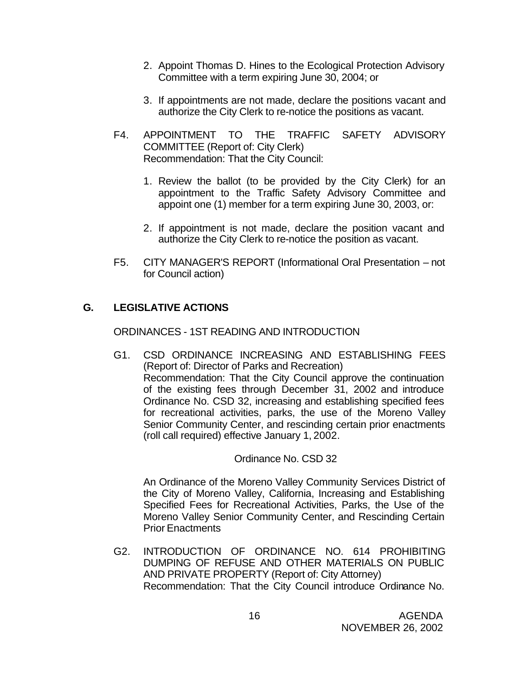- 2. Appoint Thomas D. Hines to the Ecological Protection Advisory Committee with a term expiring June 30, 2004; or
- 3. If appointments are not made, declare the positions vacant and authorize the City Clerk to re-notice the positions as vacant.
- F4. APPOINTMENT TO THE TRAFFIC SAFETY ADVISORY COMMITTEE (Report of: City Clerk) Recommendation: That the City Council:
	- 1. Review the ballot (to be provided by the City Clerk) for an appointment to the Traffic Safety Advisory Committee and appoint one (1) member for a term expiring June 30, 2003, or:
	- 2. If appointment is not made, declare the position vacant and authorize the City Clerk to re-notice the position as vacant.
- F5. CITY MANAGER'S REPORT (Informational Oral Presentation not for Council action)

# **G. LEGISLATIVE ACTIONS**

ORDINANCES - 1ST READING AND INTRODUCTION

G1. CSD ORDINANCE INCREASING AND ESTABLISHING FEES (Report of: Director of Parks and Recreation) Recommendation: That the City Council approve the continuation of the existing fees through December 31, 2002 and introduce Ordinance No. CSD 32, increasing and establishing specified fees for recreational activities, parks, the use of the Moreno Valley Senior Community Center, and rescinding certain prior enactments (roll call required) effective January 1, 2002.

### Ordinance No. CSD 32

An Ordinance of the Moreno Valley Community Services District of the City of Moreno Valley, California, Increasing and Establishing Specified Fees for Recreational Activities, Parks, the Use of the Moreno Valley Senior Community Center, and Rescinding Certain Prior Enactments

G2. INTRODUCTION OF ORDINANCE NO. 614 PROHIBITING DUMPING OF REFUSE AND OTHER MATERIALS ON PUBLIC AND PRIVATE PROPERTY (Report of: City Attorney) Recommendation: That the City Council introduce Ordinance No.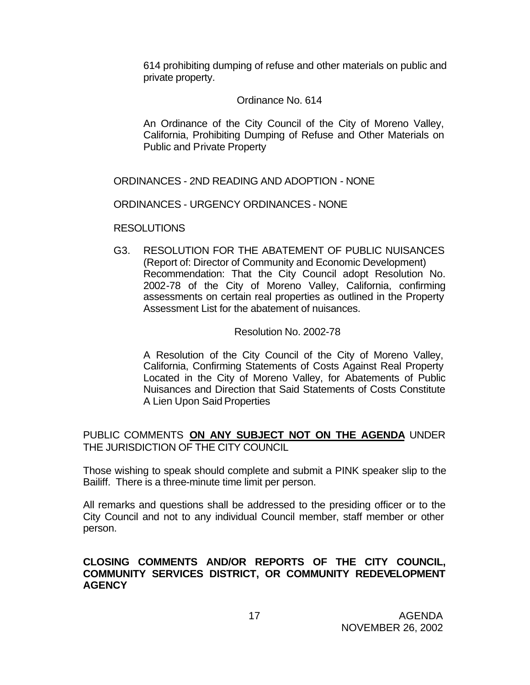614 prohibiting dumping of refuse and other materials on public and private property.

#### Ordinance No. 614

An Ordinance of the City Council of the City of Moreno Valley, California, Prohibiting Dumping of Refuse and Other Materials on Public and Private Property

ORDINANCES - 2ND READING AND ADOPTION - NONE

ORDINANCES - URGENCY ORDINANCES - NONE

RESOLUTIONS

G3. RESOLUTION FOR THE ABATEMENT OF PUBLIC NUISANCES (Report of: Director of Community and Economic Development) Recommendation: That the City Council adopt Resolution No. 2002-78 of the City of Moreno Valley, California, confirming assessments on certain real properties as outlined in the Property Assessment List for the abatement of nuisances.

#### Resolution No. 2002-78

A Resolution of the City Council of the City of Moreno Valley, California, Confirming Statements of Costs Against Real Property Located in the City of Moreno Valley, for Abatements of Public Nuisances and Direction that Said Statements of Costs Constitute A Lien Upon Said Properties

## PUBLIC COMMENTS **ON ANY SUBJECT NOT ON THE AGENDA** UNDER THE JURISDICTION OF THE CITY COUNCIL

Those wishing to speak should complete and submit a PINK speaker slip to the Bailiff. There is a three-minute time limit per person.

All remarks and questions shall be addressed to the presiding officer or to the City Council and not to any individual Council member, staff member or other person.

### **CLOSING COMMENTS AND/OR REPORTS OF THE CITY COUNCIL, COMMUNITY SERVICES DISTRICT, OR COMMUNITY REDEVELOPMENT AGENCY**